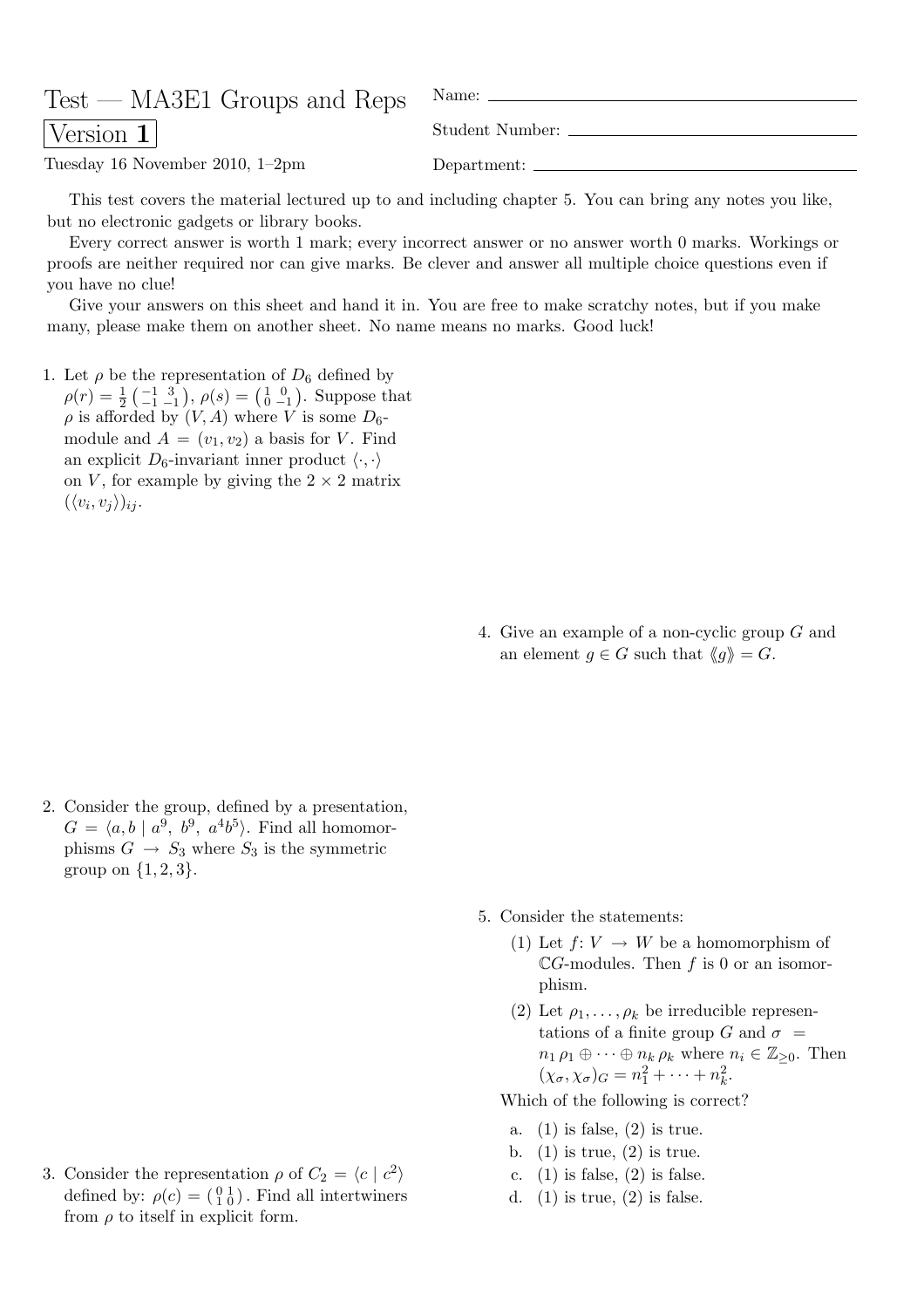| $Test - MASE1$ Groups and Reps $\gamma$ <sup>Name:</sup> - |                 |
|------------------------------------------------------------|-----------------|
| $\sqrt{\text{Version 1}}$                                  | Student Number: |
| Tuesday 16 November 2010, $1-2$ pm                         |                 |

This test covers the material lectured up to and including chapter 5. You can bring any notes you like, but no electronic gadgets or library books.

Every correct answer is worth 1 mark; every incorrect answer or no answer worth 0 marks. Workings or proofs are neither required nor can give marks. Be clever and answer all multiple choice questions even if you have no clue!

Give your answers on this sheet and hand it in. You are free to make scratchy notes, but if you make many, please make them on another sheet. No name means no marks. Good luck!

1. Let  $\rho$  be the representation of  $D_6$  defined by  $\rho(r) = \frac{1}{2}$  $\frac{1}{2} \begin{pmatrix} -1 & 3 \\ -1 & -1 \end{pmatrix}$ ,  $\rho(s) = \begin{pmatrix} 1 & 0 \\ 0 & -1 \end{pmatrix}$ . Suppose that  $\rho$  is afforded by  $(V, A)$  where V is some  $D_6$ module and  $A = (v_1, v_2)$  a basis for V. Find an explicit  $D_6$ -invariant inner product  $\langle \cdot, \cdot \rangle$ 

on V, for example by giving the  $2 \times 2$  matrix  $(\langle v_i, v_j \rangle)_{ij}$ .

> 4. Give an example of a non-cyclic group G and an element  $g \in G$  such that  $\langle g \rangle = G$ .

2. Consider the group, defined by a presentation,  $G = \langle a, b \mid a^9, b^9, a^4b^5 \rangle$ . Find all homomorphisms  $G \rightarrow S_3$  where  $S_3$  is the symmetric group on  $\{1, 2, 3\}$ .

3. Consider the representation  $\rho$  of  $C_2 = \langle c \mid c^2 \rangle$ defined by:  $\rho(c) = \begin{pmatrix} 0 & 1 \\ 1 & 0 \end{pmatrix}$ . Find all intertwiners from  $\rho$  to itself in explicit form.

- 5. Consider the statements:
	- (1) Let  $f: V \to W$  be a homomorphism of  $\mathbb{C}G$ -modules. Then f is 0 or an isomorphism.
	- (2) Let  $\rho_1, \ldots, \rho_k$  be irreducible representations of a finite group G and  $\sigma$  =  $n_1 \rho_1 \oplus \cdots \oplus n_k \rho_k$  where  $n_i \in \mathbb{Z}_{\geq 0}$ . Then  $(\chi_{\sigma}, \chi_{\sigma})_G = n_1^2 + \cdots + n_k^2$  $\frac{2}{k}$ .

Which of the following is correct?

- a. (1) is false, (2) is true.
- b.  $(1)$  is true,  $(2)$  is true.
- c.  $(1)$  is false,  $(2)$  is false.
- d.  $(1)$  is true,  $(2)$  is false.